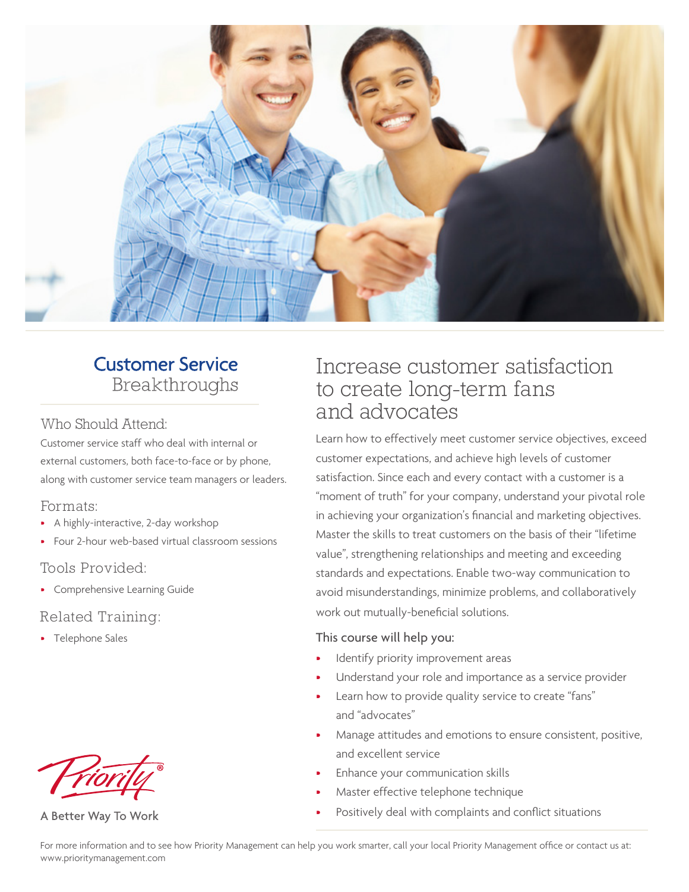

## **Customer Service** Breakthroughs

#### Who Should Attend:

Customer service staff who deal with internal or external customers, both face-to-face or by phone, along with customer service team managers or leaders.

### Formats:

- A highly-interactive, 2-day workshop
- Four 2-hour web-based virtual classroom sessions

### Tools Provided:

• Comprehensive Learning Guide

### Related Training:

• Telephone Sales



A Better Way To Work

## Increase customer satisfaction to create long-term fans and advocates

Learn how to effectively meet customer service objectives, exceed customer expectations, and achieve high levels of customer satisfaction. Since each and every contact with a customer is a "moment of truth" for your company, understand your pivotal role in achieving your organization's financial and marketing objectives. Master the skills to treat customers on the basis of their "lifetime value", strengthening relationships and meeting and exceeding standards and expectations. Enable two-way communication to avoid misunderstandings, minimize problems, and collaboratively work out mutually-beneficial solutions.

#### This course will help you:

- Identify priority improvement areas
- Understand your role and importance as a service provider
- Learn how to provide quality service to create "fans" and "advocates"
- Manage attitudes and emotions to ensure consistent, positive, and excellent service
- Enhance your communication skills
- Master effective telephone technique
- Positively deal with complaints and conflict situations

For more information and to see how Priority Management can help you work smarter, call your local Priority Management office or contact us at: www.prioritymanagement.com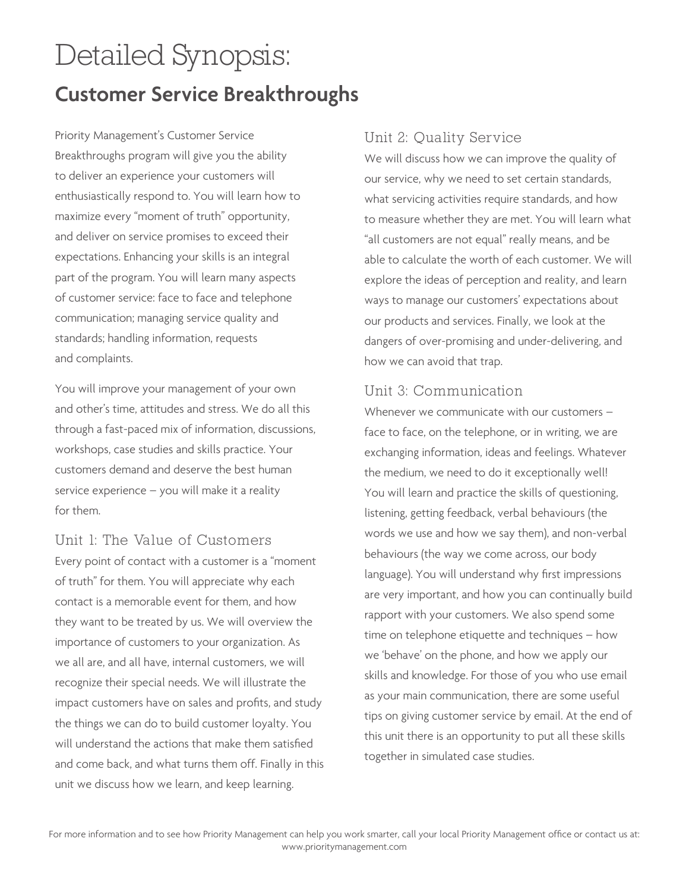# Detailed Synopsis: **Customer Service Breakthroughs**

Priority Management's Customer Service Breakthroughs program will give you the ability to deliver an experience your customers will enthusiastically respond to. You will learn how to maximize every "moment of truth" opportunity, and deliver on service promises to exceed their expectations. Enhancing your skills is an integral part of the program. You will learn many aspects of customer service: face to face and telephone communication; managing service quality and standards; handling information, requests and complaints.

You will improve your management of your own and other's time, attitudes and stress. We do all this through a fast-paced mix of information, discussions, workshops, case studies and skills practice. Your customers demand and deserve the best human service experience – you will make it a reality for them.

### Unit 1: The Value of Customers

Every point of contact with a customer is a "moment of truth" for them. You will appreciate why each contact is a memorable event for them, and how they want to be treated by us. We will overview the importance of customers to your organization. As we all are, and all have, internal customers, we will recognize their special needs. We will illustrate the impact customers have on sales and profits, and study the things we can do to build customer loyalty. You will understand the actions that make them satisfied and come back, and what turns them off. Finally in this unit we discuss how we learn, and keep learning.

### Unit 2: Quality Service

We will discuss how we can improve the quality of our service, why we need to set certain standards, what servicing activities require standards, and how to measure whether they are met. You will learn what "all customers are not equal" really means, and be able to calculate the worth of each customer. We will explore the ideas of perception and reality, and learn ways to manage our customers' expectations about our products and services. Finally, we look at the dangers of over-promising and under-delivering, and how we can avoid that trap.

### Unit 3: Communication

Whenever we communicate with our customers face to face, on the telephone, or in writing, we are exchanging information, ideas and feelings. Whatever the medium, we need to do it exceptionally well! You will learn and practice the skills of questioning, listening, getting feedback, verbal behaviours (the words we use and how we say them), and non-verbal behaviours (the way we come across, our body language). You will understand why first impressions are very important, and how you can continually build rapport with your customers. We also spend some time on telephone etiquette and techniques – how we 'behave' on the phone, and how we apply our skills and knowledge. For those of you who use email as your main communication, there are some useful tips on giving customer service by email. At the end of this unit there is an opportunity to put all these skills together in simulated case studies.